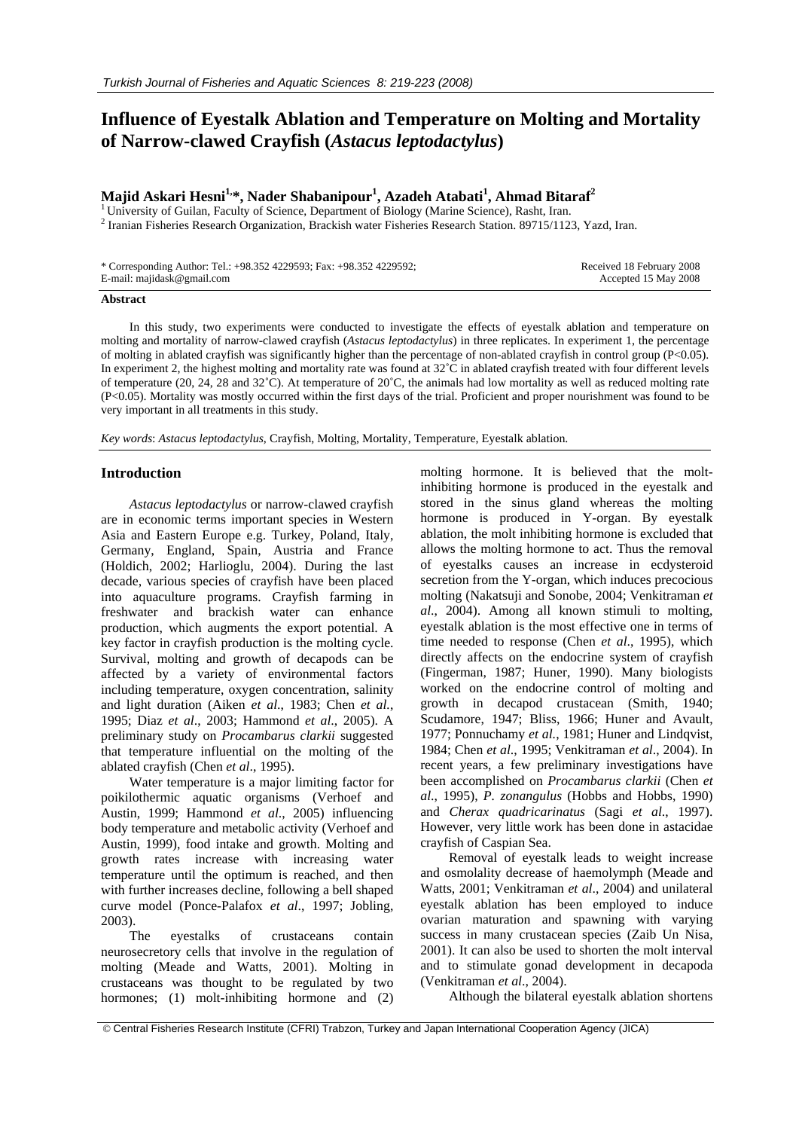# **Influence of Eyestalk Ablation and Temperature on Molting and Mortality of Narrow-clawed Crayfish (***Astacus leptodactylus***)**

# **Majid Askari Hesni1,\*, Nader Shabanipour1 , Azadeh Atabati<sup>1</sup> , Ahmad Bitaraf2**

<sup>1</sup> University of Guilan, Faculty of Science, Department of Biology (Marine Science), Rasht, Iran. <sup>2</sup> Iranian Fisheries Research Organization, Brackish water Fisheries Research Station. 89715/1123, Yazd, Iran.

| * Corresponding Author: Tel.: +98.352 4229593; Fax: +98.352 4229592; | Received 18 February 2008 |
|----------------------------------------------------------------------|---------------------------|
| E-mail: majidask@gmail.com                                           | Accepted 15 May 2008      |

#### **Abstract**

In this study, two experiments were conducted to investigate the effects of eyestalk ablation and temperature on molting and mortality of narrow-clawed crayfish (*Astacus leptodactylus*) in three replicates. In experiment 1, the percentage of molting in ablated crayfish was significantly higher than the percentage of non-ablated crayfish in control group (P<0.05). In experiment 2, the highest molting and mortality rate was found at 32˚C in ablated crayfish treated with four different levels of temperature (20, 24, 28 and 32˚C). At temperature of 20˚C, the animals had low mortality as well as reduced molting rate (P<0.05). Mortality was mostly occurred within the first days of the trial. Proficient and proper nourishment was found to be very important in all treatments in this study.

*Key words*: *Astacus leptodactylus*, Crayfish, Molting, Mortality, Temperature, Eyestalk ablation.

#### **Introduction**

*Astacus leptodactylus* or narrow-clawed crayfish are in economic terms important species in Western Asia and Eastern Europe e.g. Turkey, Poland, Italy, Germany, England, Spain, Austria and France (Holdich, 2002; Harlioglu, 2004). During the last decade, various species of crayfish have been placed into aquaculture programs. Crayfish farming in freshwater and brackish water can enhance production, which augments the export potential. A key factor in crayfish production is the molting cycle. Survival, molting and growth of decapods can be affected by a variety of environmental factors including temperature, oxygen concentration, salinity and light duration (Aiken *et al*., 1983; Chen *et al.*, 1995; Diaz *et al*., 2003; Hammond *et al*., 2005). A preliminary study on *Procambarus clarkii* suggested that temperature influential on the molting of the ablated crayfish (Chen *et al*., 1995).

Water temperature is a major limiting factor for poikilothermic aquatic organisms (Verhoef and Austin, 1999; Hammond *et al*., 2005) influencing body temperature and metabolic activity (Verhoef and Austin, 1999), food intake and growth. Molting and growth rates increase with increasing water temperature until the optimum is reached, and then with further increases decline, following a bell shaped curve model (Ponce-Palafox *et al*., 1997; Jobling, 2003).

The eyestalks of crustaceans contain neurosecretory cells that involve in the regulation of molting (Meade and Watts, 2001). Molting in crustaceans was thought to be regulated by two hormones; (1) molt-inhibiting hormone and (2)

molting hormone. It is believed that the moltinhibiting hormone is produced in the eyestalk and stored in the sinus gland whereas the molting hormone is produced in Y-organ. By eyestalk ablation, the molt inhibiting hormone is excluded that allows the molting hormone to act. Thus the removal of eyestalks causes an increase in ecdysteroid secretion from the Y-organ, which induces precocious molting (Nakatsuji and Sonobe, 2004; Venkitraman *et al*., 2004). Among all known stimuli to molting, eyestalk ablation is the most effective one in terms of time needed to response (Chen *et al*., 1995), which directly affects on the endocrine system of crayfish (Fingerman, 1987; Huner, 1990). Many biologists worked on the endocrine control of molting and growth in decapod crustacean (Smith, 1940; Scudamore, 1947; Bliss, 1966; Huner and Avault, 1977; Ponnuchamy *et al.*, 1981; Huner and Lindqvist, 1984; Chen *et al*., 1995; Venkitraman *et al*., 2004). In recent years, a few preliminary investigations have been accomplished on *Procambarus clarkii* (Chen *et al*., 1995), *P. zonangulus* (Hobbs and Hobbs, 1990) and *Cherax quadricarinatus* (Sagi *et al*., 1997). However, very little work has been done in astacidae crayfish of Caspian Sea.

Removal of eyestalk leads to weight increase and osmolality decrease of haemolymph (Meade and Watts, 2001; Venkitraman *et al*., 2004) and unilateral eyestalk ablation has been employed to induce ovarian maturation and spawning with varying success in many crustacean species (Zaib Un Nisa, 2001). It can also be used to shorten the molt interval and to stimulate gonad development in decapoda (Venkitraman *et al*., 2004).

Although the bilateral eyestalk ablation shortens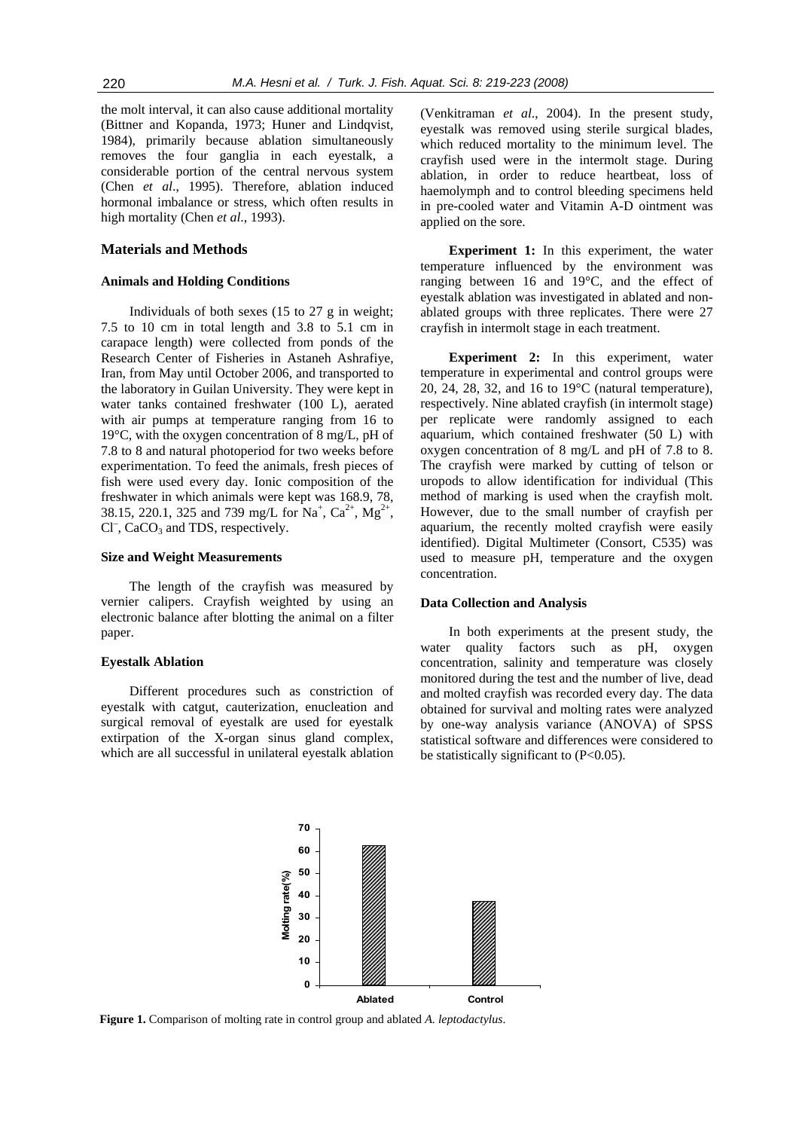the molt interval, it can also cause additional mortality (Bittner and Kopanda, 1973; Huner and Lindqvist, 1984), primarily because ablation simultaneously removes the four ganglia in each eyestalk, a considerable portion of the central nervous system (Chen *et al*., 1995). Therefore, ablation induced hormonal imbalance or stress, which often results in high mortality (Chen *et al*., 1993).

## **Materials and Methods**

#### **Animals and Holding Conditions**

Individuals of both sexes (15 to 27 g in weight; 7.5 to 10 cm in total length and 3.8 to 5.1 cm in carapace length) were collected from ponds of the Research Center of Fisheries in Astaneh Ashrafiye, Iran, from May until October 2006, and transported to the laboratory in Guilan University. They were kept in water tanks contained freshwater (100 L), aerated with air pumps at temperature ranging from 16 to 19°C, with the oxygen concentration of 8 mg/L, pH of 7.8 to 8 and natural photoperiod for two weeks before experimentation. To feed the animals, fresh pieces of fish were used every day. Ionic composition of the freshwater in which animals were kept was 168.9, 78, 38.15, 220.1, 325 and 739 mg/L for Na<sup>+</sup>, Ca<sup>2+</sup>, Mg<sup>2+</sup>, Cl<sup>-</sup>, CaCO<sub>3</sub> and TDS, respectively.

#### **Size and Weight Measurements**

The length of the crayfish was measured by vernier calipers. Crayfish weighted by using an electronic balance after blotting the animal on a filter paper.

#### **Eyestalk Ablation**

Different procedures such as constriction of eyestalk with catgut, cauterization, enucleation and surgical removal of eyestalk are used for eyestalk extirpation of the X-organ sinus gland complex, which are all successful in unilateral eyestalk ablation

(Venkitraman *et al*., 2004). In the present study, eyestalk was removed using sterile surgical blades, which reduced mortality to the minimum level. The crayfish used were in the intermolt stage. During ablation, in order to reduce heartbeat, loss of haemolymph and to control bleeding specimens held in pre-cooled water and Vitamin A-D ointment was applied on the sore.

**Experiment 1:** In this experiment, the water temperature influenced by the environment was ranging between 16 and 19°C, and the effect of eyestalk ablation was investigated in ablated and nonablated groups with three replicates. There were 27 crayfish in intermolt stage in each treatment.

**Experiment 2:** In this experiment, water temperature in experimental and control groups were 20, 24, 28, 32, and 16 to 19°C (natural temperature), respectively. Nine ablated crayfish (in intermolt stage) per replicate were randomly assigned to each aquarium, which contained freshwater (50 L) with oxygen concentration of 8 mg/L and pH of 7.8 to 8. The crayfish were marked by cutting of telson or uropods to allow identification for individual (This method of marking is used when the crayfish molt. However, due to the small number of crayfish per aquarium, the recently molted crayfish were easily identified). Digital Multimeter (Consort, C535) was used to measure pH, temperature and the oxygen concentration.

#### **Data Collection and Analysis**

In both experiments at the present study, the water quality factors such as pH, oxygen concentration, salinity and temperature was closely monitored during the test and the number of live, dead and molted crayfish was recorded every day. The data obtained for survival and molting rates were analyzed by one-way analysis variance (ANOVA) of SPSS statistical software and differences were considered to be statistically significant to (P<0.05).



**Figure 1.** Comparison of molting rate in control group and ablated *A. leptodactylus*.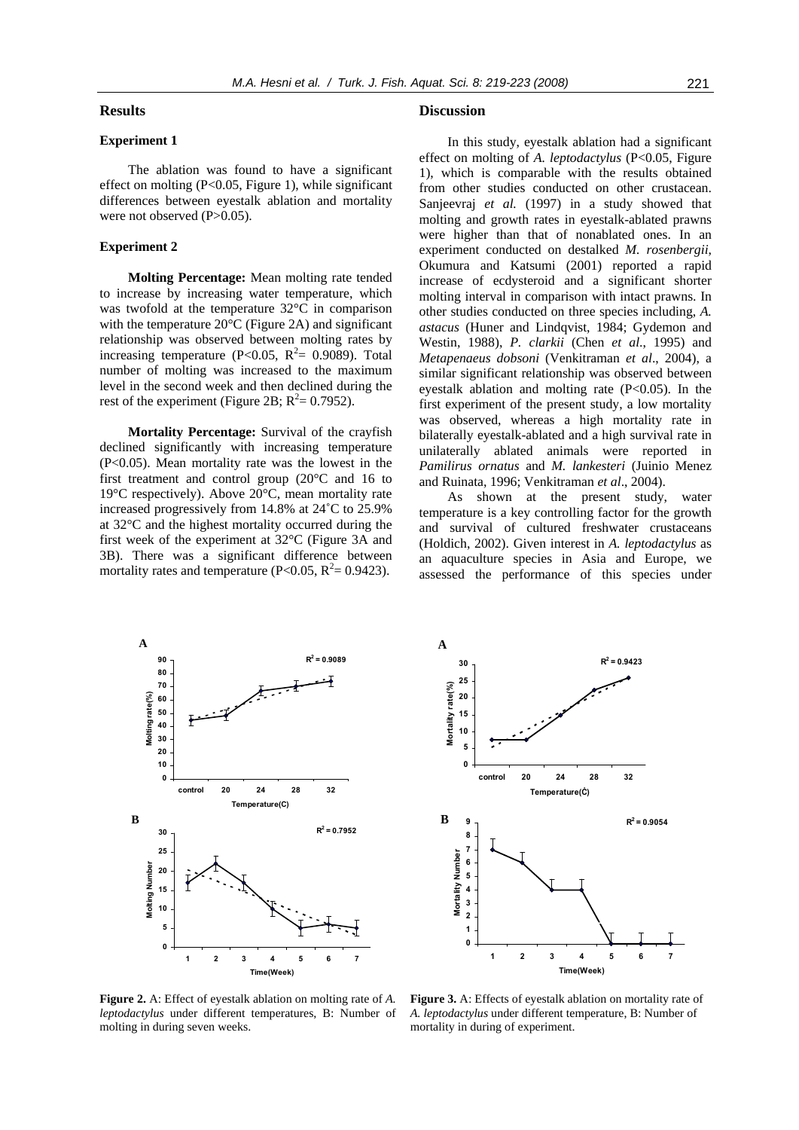## **Results**

# **Experiment 1**

The ablation was found to have a significant effect on molting  $(P<0.05$ , Figure 1), while significant differences between eyestalk ablation and mortality were not observed (P>0.05).

#### **Experiment 2**

**Molting Percentage:** Mean molting rate tended to increase by increasing water temperature, which was twofold at the temperature 32°C in comparison with the temperature 20°C (Figure 2A) and significant relationship was observed between molting rates by increasing temperature (P<0.05,  $R^2 = 0.9089$ ). Total number of molting was increased to the maximum level in the second week and then declined during the rest of the experiment (Figure 2B;  $R^2 = 0.7952$ ).

**Mortality Percentage:** Survival of the crayfish declined significantly with increasing temperature (P<0.05). Mean mortality rate was the lowest in the first treatment and control group (20°C and 16 to 19°C respectively). Above 20°C, mean mortality rate increased progressively from 14.8% at 24˚C to 25.9% at 32°C and the highest mortality occurred during the first week of the experiment at 32°C (Figure 3A and 3B). There was a significant difference between mortality rates and temperature (P<0.05,  $R^2 = 0.9423$ ).

#### **Discussion**

**30**

**A** 

In this study, eyestalk ablation had a significant effect on molting of *A. leptodactylus* (P<0.05, Figure 1), which is comparable with the results obtained from other studies conducted on other crustacean. Sanjeevraj *et al.* (1997) in a study showed that molting and growth rates in eyestalk-ablated prawns were higher than that of nonablated ones. In an experiment conducted on destalked *M. rosenbergii*, Okumura and Katsumi (2001) reported a rapid increase of ecdysteroid and a significant shorter molting interval in comparison with intact prawns. In other studies conducted on three species including, *A. astacus* (Huner and Lindqvist, 1984; Gydemon and Westin, 1988), *P. clarkii* (Chen *et al*., 1995) and *Metapenaeus dobsoni* (Venkitraman *et al*., 2004), a similar significant relationship was observed between eyestalk ablation and molting rate (P<0.05). In the first experiment of the present study, a low mortality was observed, whereas a high mortality rate in bilaterally eyestalk-ablated and a high survival rate in unilaterally ablated animals were reported in *Pamilirus ornatus* and *M. lankesteri* (Juinio Menez and Ruinata, 1996; Venkitraman *et al*., 2004).

As shown at the present study, water temperature is a key controlling factor for the growth and survival of cultured freshwater crustaceans (Holdich, 2002). Given interest in *A. leptodactylus* as an aquaculture species in Asia and Europe, we assessed the performance of this species under

 $R^2 = 0.9423$ 



**25** Mortality rate(%) **Mortality rate(%) 20 15 10 5 0 control 20 24 28 32 Temperature(Ċ) B 9**  $R^2 = 0.9054$ **8 7** Mortality Number **Mortality Number 6 5 4 3 2 1 0 1234567 Time(Week)**

**Figure 2.** A: Effect of eyestalk ablation on molting rate of *A. leptodactylus* under different temperatures, B: Number of molting in during seven weeks.

**Figure 3.** A: Effects of eyestalk ablation on mortality rate of *A. leptodactylus* under different temperature, B: Number of mortality in during of experiment.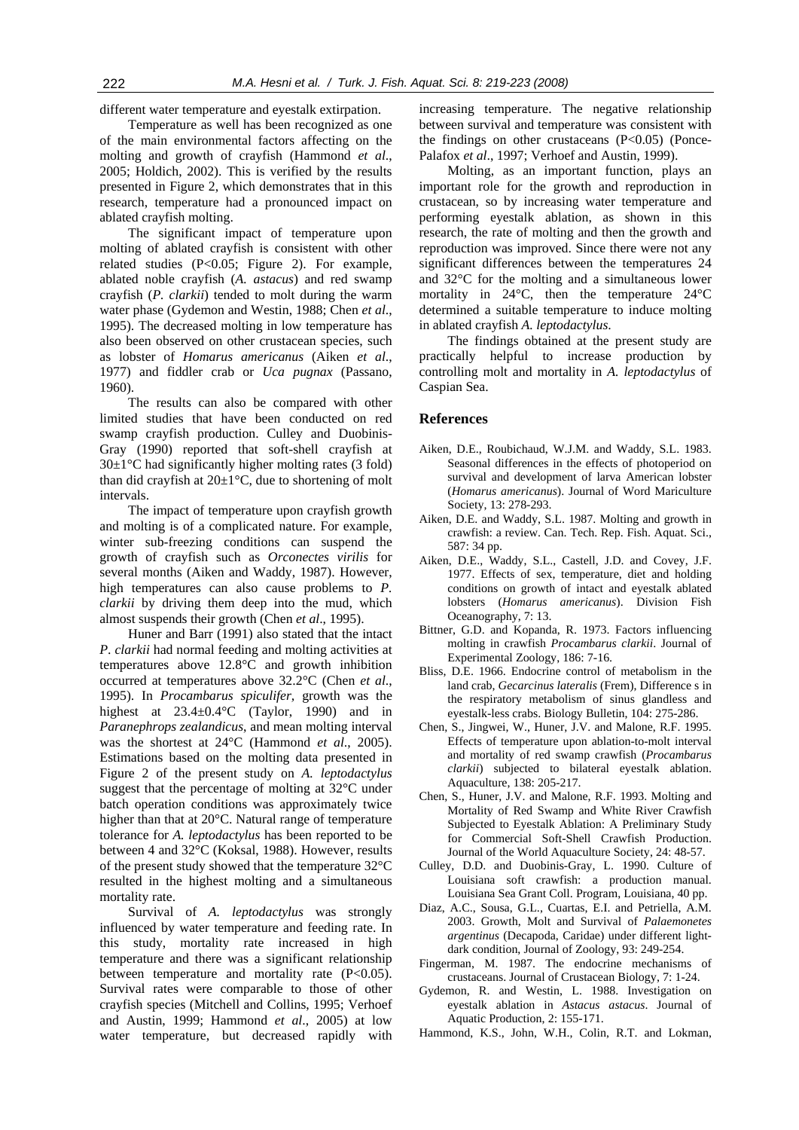different water temperature and eyestalk extirpation.

Temperature as well has been recognized as one of the main environmental factors affecting on the molting and growth of crayfish (Hammond *et al*., 2005; Holdich, 2002). This is verified by the results presented in Figure 2, which demonstrates that in this research, temperature had a pronounced impact on ablated crayfish molting.

The significant impact of temperature upon molting of ablated crayfish is consistent with other related studies (P<0.05; Figure 2). For example, ablated noble crayfish (*A. astacus*) and red swamp crayfish (*P. clarkii*) tended to molt during the warm water phase (Gydemon and Westin, 1988; Chen *et al*., 1995). The decreased molting in low temperature has also been observed on other crustacean species, such as lobster of *Homarus americanus* (Aiken *et al*., 1977) and fiddler crab or *Uca pugnax* (Passano, 1960).

The results can also be compared with other limited studies that have been conducted on red swamp crayfish production. Culley and Duobinis-Gray (1990) reported that soft-shell crayfish at  $30\pm1\degree$ C had significantly higher molting rates (3 fold) than did crayfish at  $20\pm1^{\circ}$ C, due to shortening of molt intervals.

The impact of temperature upon crayfish growth and molting is of a complicated nature. For example, winter sub-freezing conditions can suspend the growth of crayfish such as *Orconectes virilis* for several months (Aiken and Waddy, 1987). However, high temperatures can also cause problems to *P. clarkii* by driving them deep into the mud, which almost suspends their growth (Chen *et al*., 1995).

Huner and Barr (1991) also stated that the intact *P*. *clarkii* had normal feeding and molting activities at temperatures above 12.8°C and growth inhibition occurred at temperatures above 32.2°C (Chen *et al*., 1995). In *Procambarus spiculifer,* growth was the highest at  $23.4 \pm 0.4$ °C (Taylor, 1990) and in *Paranephrops zealandicus*, and mean molting interval was the shortest at 24°C (Hammond *et al*., 2005). Estimations based on the molting data presented in Figure 2 of the present study on *A. leptodactylus* suggest that the percentage of molting at 32°C under batch operation conditions was approximately twice higher than that at 20°C. Natural range of temperature tolerance for *A. leptodactylus* has been reported to be between 4 and 32°C (Koksal, 1988). However, results of the present study showed that the temperature 32°C resulted in the highest molting and a simultaneous mortality rate.

Survival of *A. leptodactylus* was strongly influenced by water temperature and feeding rate. In this study, mortality rate increased in high temperature and there was a significant relationship between temperature and mortality rate (P<0.05). Survival rates were comparable to those of other crayfish species (Mitchell and Collins, 1995; Verhoef and Austin, 1999; Hammond *et al*., 2005) at low water temperature, but decreased rapidly with

increasing temperature. The negative relationship between survival and temperature was consistent with the findings on other crustaceans  $(P<0.05)$  (Ponce-Palafox *et al*., 1997; Verhoef and Austin, 1999).

Molting, as an important function, plays an important role for the growth and reproduction in crustacean, so by increasing water temperature and performing eyestalk ablation, as shown in this research, the rate of molting and then the growth and reproduction was improved. Since there were not any significant differences between the temperatures 24 and 32°C for the molting and a simultaneous lower mortality in 24°C, then the temperature 24°C determined a suitable temperature to induce molting in ablated crayfish *A. leptodactylus*.

The findings obtained at the present study are practically helpful to increase production by controlling molt and mortality in *A. leptodactylus* of Caspian Sea.

#### **References**

- Aiken, D.E., Roubichaud, W.J.M. and Waddy, S.L. 1983. Seasonal differences in the effects of photoperiod on survival and development of larva American lobster (*Homarus americanus*). Journal of Word Mariculture Society, 13: 278-293.
- Aiken, D.E. and Waddy, S.L. 1987. Molting and growth in crawfish: a review. Can. Tech. Rep. Fish. Aquat. Sci., 587: 34 pp.
- Aiken, D.E., Waddy, S.L., Castell, J.D. and Covey, J.F. 1977. Effects of sex, temperature, diet and holding conditions on growth of intact and eyestalk ablated lobsters (*Homarus americanus*). Division Fish Oceanography, 7: 13.
- Bittner, G.D. and Kopanda, R. 1973. Factors influencing molting in crawfish *Procambarus clarkii*. Journal of Experimental Zoology, 186: 7-16.
- Bliss, D.E. 1966. Endocrine control of metabolism in the land crab, *Gecarcinus lateralis* (Frem), Difference s in the respiratory metabolism of sinus glandless and eyestalk-less crabs. Biology Bulletin, 104: 275-286.
- Chen, S., Jingwei, W., Huner, J.V. and Malone, R.F. 1995. Effects of temperature upon ablation-to-molt interval and mortality of red swamp crawfish (*Procambarus clarkii*) subjected to bilateral eyestalk ablation. Aquaculture, 138: 205-217.
- Chen, S., Huner, J.V. and Malone, R.F. 1993. Molting and Mortality of Red Swamp and White River Crawfish Subjected to Eyestalk Ablation: A Preliminary Study for Commercial Soft-Shell Crawfish Production. Journal of the World Aquaculture Society, 24: 48-57.
- Culley, D.D. and Duobinis-Gray, L. 1990. Culture of Louisiana soft crawfish: a production manual. Louisiana Sea Grant Coll. Program, Louisiana, 40 pp.
- Diaz, A.C., Sousa, G.L., Cuartas, E.I. and Petriella, A.M. 2003. Growth, Molt and Survival of *Palaemonetes argentinus* (Decapoda, Caridae) under different lightdark condition, Journal of Zoology, 93: 249-254.
- Fingerman, M. 1987. The endocrine mechanisms of crustaceans. Journal of Crustacean Biology, 7: 1-24.
- Gydemon, R. and Westin, L. 1988. Investigation on eyestalk ablation in *Astacus astacus*. Journal of Aquatic Production, 2: 155-171.
- Hammond, K.S., John, W.H., Colin, R.T. and Lokman,